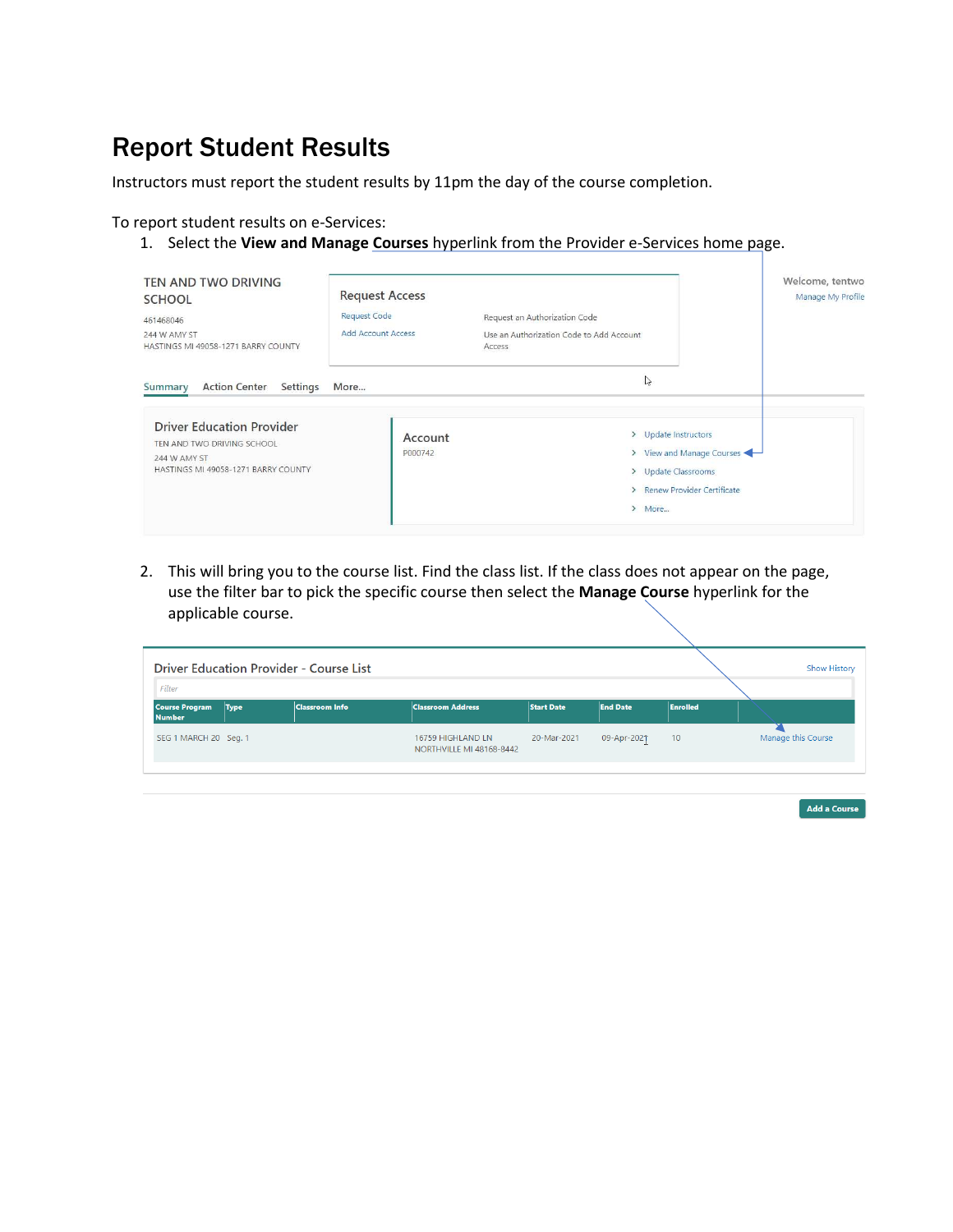## Report Student Results

Instructors must report the student results by 11pm the day of the course completion.

## To report student results on e-Services:

1. Select the **View and Manage Courses** hyperlink from the Provider e-Services home page.

| TEN AND TWO DRIVING<br><b>SCHOOL</b><br>461468046<br>244 W AMY ST<br>HASTINGS MI 49058-1271 BARRY COUNTY                                                                    | <b>Request Access</b><br><b>Request Code</b><br><b>Add Account Access</b> | Request an Authorization Code<br>Use an Authorization Code to Add Account<br>Access                                     | Welcome, tentwo<br>Manage My Profile |
|-----------------------------------------------------------------------------------------------------------------------------------------------------------------------------|---------------------------------------------------------------------------|-------------------------------------------------------------------------------------------------------------------------|--------------------------------------|
| <b>Action Center</b><br><b>Settings</b><br>Summary<br><b>Driver Education Provider</b><br>TEN AND TWO DRIVING SCHOOL<br>244 W AMY ST<br>HASTINGS MI 49058-1271 BARRY COUNTY | More<br>Account<br>P000742                                                | B<br>> Update Instructors<br>> View and Manage Courses<br>> Update Classrooms<br>> Renew Provider Certificate<br>> More |                                      |

2. This will bring you to the course list. Find the class list. If the class does not appear on the page, use the filter bar to pick the specific course then select the **Manage Course** hyperlink for the applicable course.

|                                                | <b>Driver Education Provider - Course List</b> |                                               |             |                 |          | <b>Show History</b> |
|------------------------------------------------|------------------------------------------------|-----------------------------------------------|-------------|-----------------|----------|---------------------|
| Filter                                         |                                                |                                               |             |                 |          |                     |
| Type<br><b>Course Program</b><br><b>Number</b> | <b>Classroom Info</b>                          | <b>Classroom Address</b>                      | Start Date  | <b>End Date</b> | Enrolled |                     |
| SEG 1 MARCH 20 Seg. 1                          |                                                | 16759 HIGHLAND LN<br>NORTHVILLE MI 48168-8442 | 20-Mar-2021 | 09-Apr-2021     | 10       | Manage this Course  |

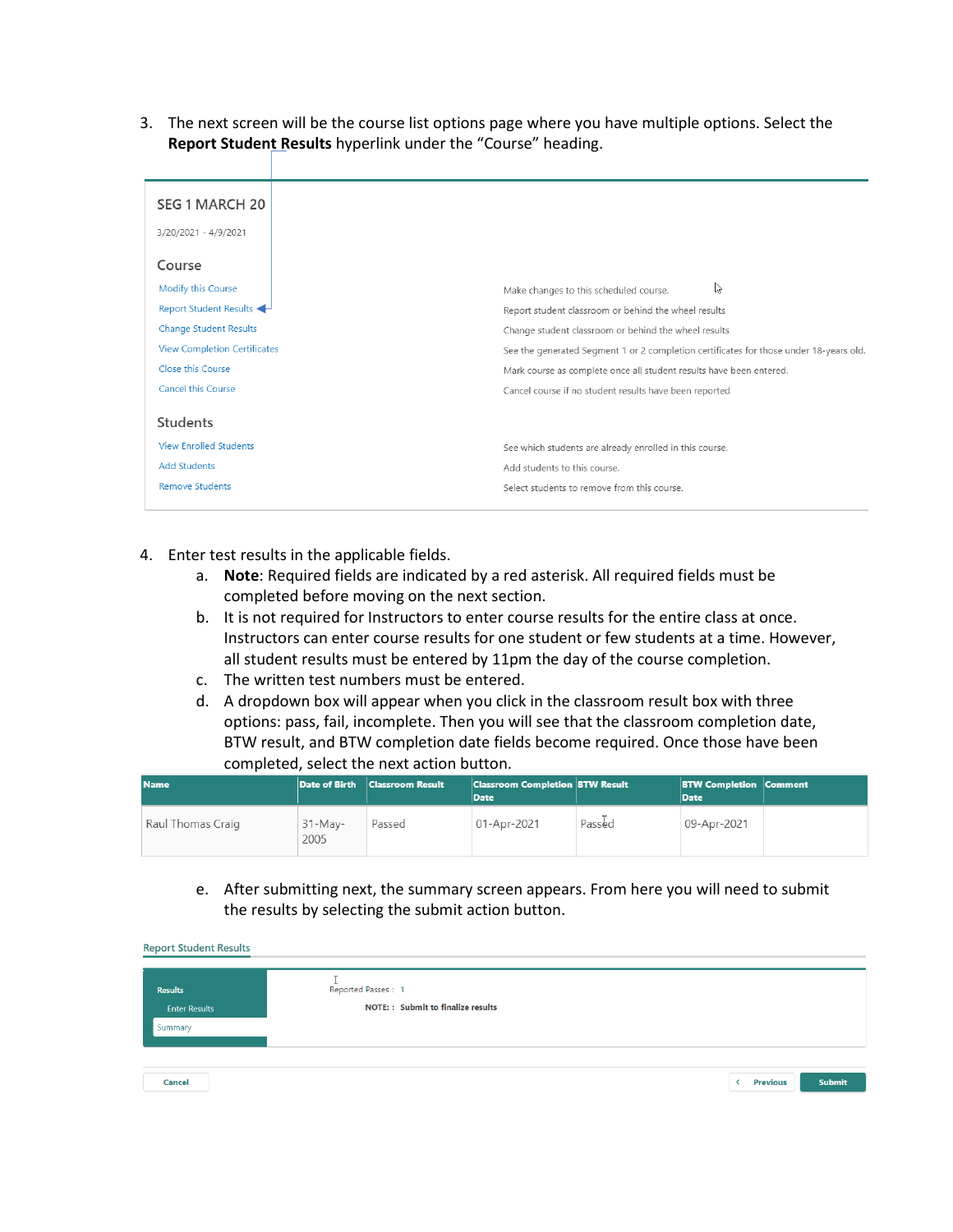3. The next screen will be the course list options page where you have multiple options. Select the **Report Student Results** hyperlink under the "Course" heading.

| SEG 1 MARCH 20                      |                                                                                        |
|-------------------------------------|----------------------------------------------------------------------------------------|
| 3/20/2021 - 4/9/2021                |                                                                                        |
| Course                              |                                                                                        |
| Modify this Course                  | ↳<br>Make changes to this scheduled course.                                            |
| Report Student Results              | Report student classroom or behind the wheel results                                   |
| <b>Change Student Results</b>       | Change student classroom or behind the wheel results                                   |
| <b>View Completion Certificates</b> | See the generated Segment 1 or 2 completion certificates for those under 18-years old. |
| <b>Close this Course</b>            | Mark course as complete once all student results have been entered.                    |
| <b>Cancel this Course</b>           | Cancel course if no student results have been reported                                 |
| <b>Students</b>                     |                                                                                        |
| <b>View Enrolled Students</b>       | See which students are already enrolled in this course.                                |
| <b>Add Students</b>                 | Add students to this course.                                                           |
| <b>Remove Students</b>              | Select students to remove from this course.                                            |
|                                     |                                                                                        |

- 4. Enter test results in the applicable fields.
	- a. **Note**: Required fields are indicated by a red asterisk. All required fields must be completed before moving on the next section.
	- b. It is not required for Instructors to enter course results for the entire class at once. Instructors can enter course results for one student or few students at a time. However, all student results must be entered by 11pm the day of the course completion.
	- c. The written test numbers must be entered.
	- d. A dropdown box will appear when you click in the classroom result box with three options: pass, fail, incomplete. Then you will see that the classroom completion date, BTW result, and BTW completion date fields become required. Once those have been completed, select the next action button.

| <b>Name</b>       |                   | Date of Birth   Classroom Result | <b>Classroom Completion BTW Result</b><br>Date |        | <b>BTW Completion Comment</b><br>Date |  |
|-------------------|-------------------|----------------------------------|------------------------------------------------|--------|---------------------------------------|--|
| Raul Thomas Craig | $31-Mav-$<br>2005 | Passed                           | 01-Apr-2021                                    | Passed | 09-Apr-2021                           |  |

e. After submitting next, the summary screen appears. From here you will need to submit the results by selecting the submit action button.

| <b>Report Student Results</b> |                                          |            |        |
|-------------------------------|------------------------------------------|------------|--------|
|                               |                                          |            |        |
| Results                       | Reported Passes: 1                       |            |        |
| <b>Enter Results</b>          | <b>NOTE:: Submit to finalize results</b> |            |        |
| Summary                       |                                          |            |        |
|                               |                                          |            |        |
|                               |                                          |            |        |
| Cancel                        |                                          | < Previous | Submit |
|                               |                                          |            |        |